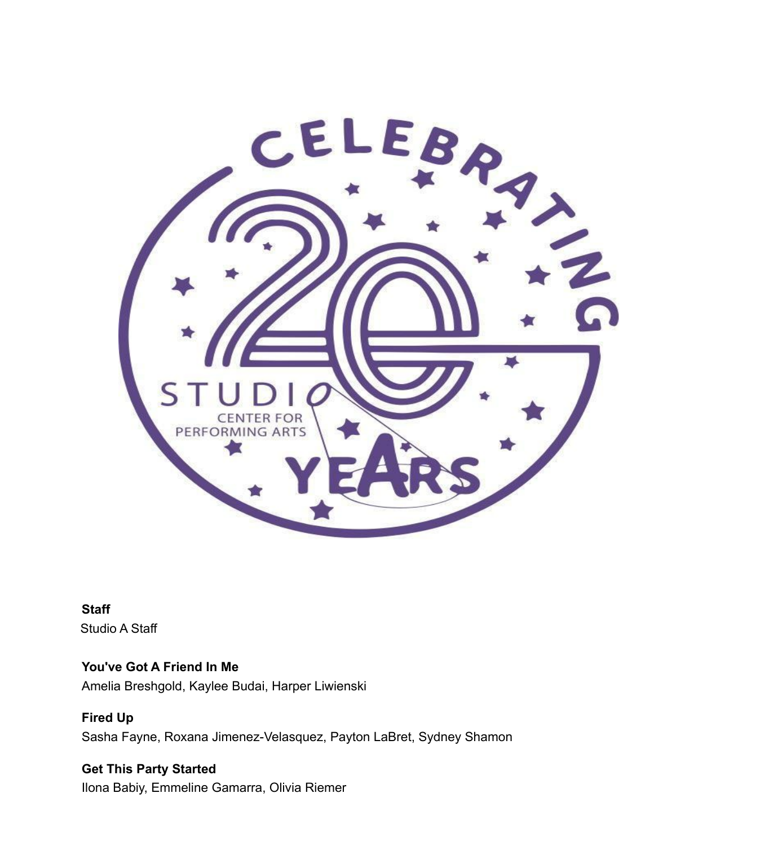

**Staff** Studio A Staff

**You've Got A Friend In Me** Amelia Breshgold, Kaylee Budai, Harper Liwienski

**Fired Up** Sasha Fayne, Roxana Jimenez-Velasquez, Payton LaBret, Sydney Shamon

**Get This Party Started** Ilona Babiy, Emmeline Gamarra, Olivia Riemer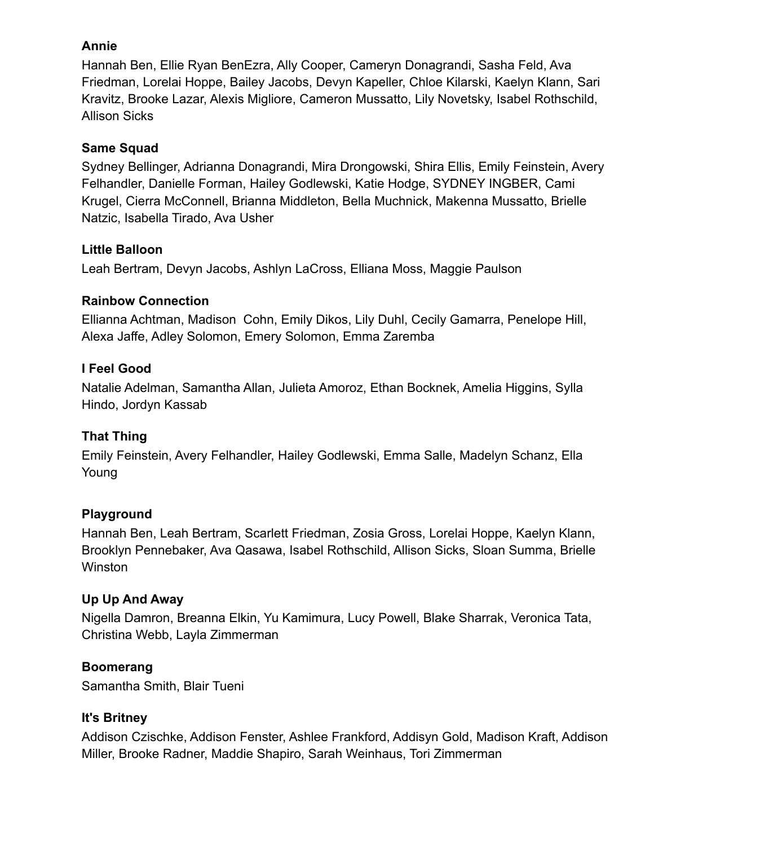### **Annie**

Hannah Ben, Ellie Ryan BenEzra, Ally Cooper, Cameryn Donagrandi, Sasha Feld, Ava Friedman, Lorelai Hoppe, Bailey Jacobs, Devyn Kapeller, Chloe Kilarski, Kaelyn Klann, Sari Kravitz, Brooke Lazar, Alexis Migliore, Cameron Mussatto, Lily Novetsky, Isabel Rothschild, Allison Sicks

### **Same Squad**

Sydney Bellinger, Adrianna Donagrandi, Mira Drongowski, Shira Ellis, Emily Feinstein, Avery Felhandler, Danielle Forman, Hailey Godlewski, Katie Hodge, SYDNEY INGBER, Cami Krugel, Cierra McConnell, Brianna Middleton, Bella Muchnick, Makenna Mussatto, Brielle Natzic, Isabella Tirado, Ava Usher

# **Little Balloon**

Leah Bertram, Devyn Jacobs, Ashlyn LaCross, Elliana Moss, Maggie Paulson

# **Rainbow Connection**

Ellianna Achtman, Madison Cohn, Emily Dikos, Lily Duhl, Cecily Gamarra, Penelope Hill, Alexa Jaffe, Adley Solomon, Emery Solomon, Emma Zaremba

# **I Feel Good**

Natalie Adelman, Samantha Allan, Julieta Amoroz, Ethan Bocknek, Amelia Higgins, Sylla Hindo, Jordyn Kassab

# **That Thing**

Emily Feinstein, Avery Felhandler, Hailey Godlewski, Emma Salle, Madelyn Schanz, Ella Young

# **Playground**

Hannah Ben, Leah Bertram, Scarlett Friedman, Zosia Gross, Lorelai Hoppe, Kaelyn Klann, Brooklyn Pennebaker, Ava Qasawa, Isabel Rothschild, Allison Sicks, Sloan Summa, Brielle **Winston** 

# **Up Up And Away**

Nigella Damron, Breanna Elkin, Yu Kamimura, Lucy Powell, Blake Sharrak, Veronica Tata, Christina Webb, Layla Zimmerman

# **Boomerang**

Samantha Smith, Blair Tueni

# **It's Britney**

Addison Czischke, Addison Fenster, Ashlee Frankford, Addisyn Gold, Madison Kraft, Addison Miller, Brooke Radner, Maddie Shapiro, Sarah Weinhaus, Tori Zimmerman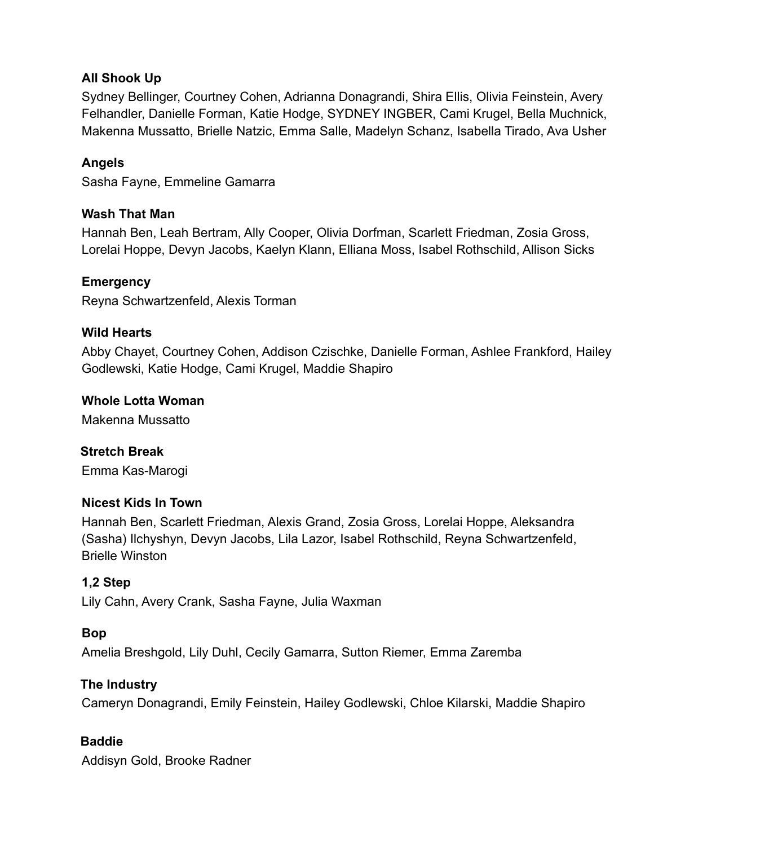### **All Shook Up**

Sydney Bellinger, Courtney Cohen, Adrianna Donagrandi, Shira Ellis, Olivia Feinstein, Avery Felhandler, Danielle Forman, Katie Hodge, SYDNEY INGBER, Cami Krugel, Bella Muchnick, Makenna Mussatto, Brielle Natzic, Emma Salle, Madelyn Schanz, Isabella Tirado, Ava Usher

# **Angels**

Sasha Fayne, Emmeline Gamarra

### **Wash That Man**

Hannah Ben, Leah Bertram, Ally Cooper, Olivia Dorfman, Scarlett Friedman, Zosia Gross, Lorelai Hoppe, Devyn Jacobs, Kaelyn Klann, Elliana Moss, Isabel Rothschild, Allison Sicks

### **Emergency**

Reyna Schwartzenfeld, Alexis Torman

#### **Wild Hearts**

Abby Chayet, Courtney Cohen, Addison Czischke, Danielle Forman, Ashlee Frankford, Hailey Godlewski, Katie Hodge, Cami Krugel, Maddie Shapiro

### **Whole Lotta Woman**

Makenna Mussatto

**Stretch Break** Emma Kas-Marogi

### **Nicest Kids In Town**

Hannah Ben, Scarlett Friedman, Alexis Grand, Zosia Gross, Lorelai Hoppe, Aleksandra (Sasha) Ilchyshyn, Devyn Jacobs, Lila Lazor, Isabel Rothschild, Reyna Schwartzenfeld, Brielle Winston

### **1,2 Step**

Lily Cahn, Avery Crank, Sasha Fayne, Julia Waxman

### **Bop**

Amelia Breshgold, Lily Duhl, Cecily Gamarra, Sutton Riemer, Emma Zaremba

### **The Industry**

Cameryn Donagrandi, Emily Feinstein, Hailey Godlewski, Chloe Kilarski, Maddie Shapiro

### **Baddie**

Addisyn Gold, Brooke Radner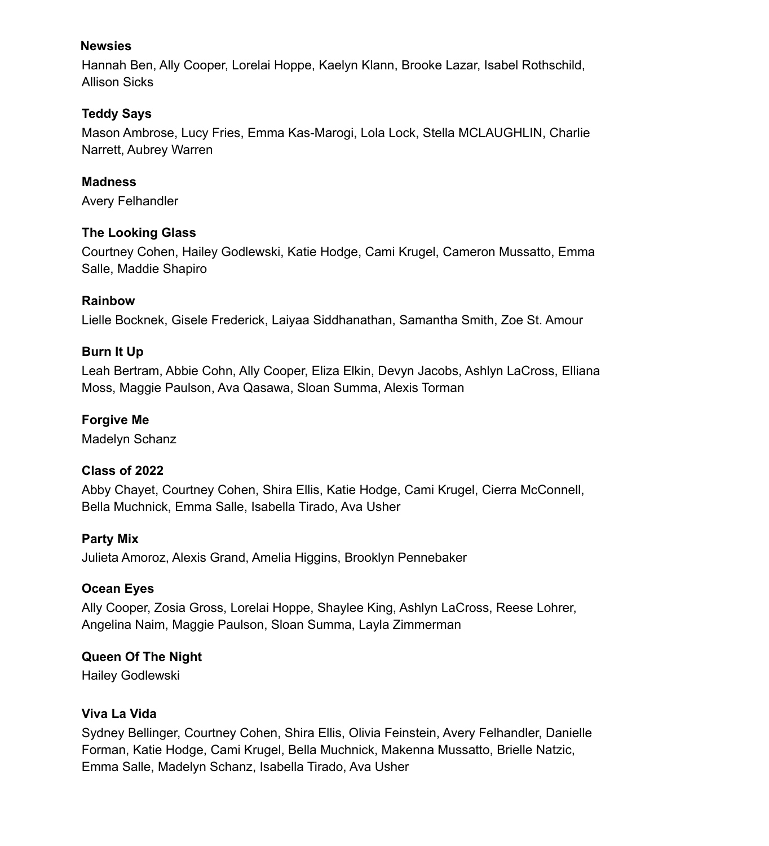#### **Newsies**

Hannah Ben, Ally Cooper, Lorelai Hoppe, Kaelyn Klann, Brooke Lazar, Isabel Rothschild, Allison Sicks

# **Teddy Says**

Mason Ambrose, Lucy Fries, Emma Kas-Marogi, Lola Lock, Stella MCLAUGHLIN, Charlie Narrett, Aubrey Warren

**Madness** Avery Felhandler

### **The Looking Glass**

Courtney Cohen, Hailey Godlewski, Katie Hodge, Cami Krugel, Cameron Mussatto, Emma Salle, Maddie Shapiro

# **Rainbow**

Lielle Bocknek, Gisele Frederick, Laiyaa Siddhanathan, Samantha Smith, Zoe St. Amour

# **Burn It Up**

Leah Bertram, Abbie Cohn, Ally Cooper, Eliza Elkin, Devyn Jacobs, Ashlyn LaCross, Elliana Moss, Maggie Paulson, Ava Qasawa, Sloan Summa, Alexis Torman

# **Forgive Me**

Madelyn Schanz

# **Class of 2022**

Abby Chayet, Courtney Cohen, Shira Ellis, Katie Hodge, Cami Krugel, Cierra McConnell, Bella Muchnick, Emma Salle, Isabella Tirado, Ava Usher

### **Party Mix**

Julieta Amoroz, Alexis Grand, Amelia Higgins, Brooklyn Pennebaker

### **Ocean Eyes**

Ally Cooper, Zosia Gross, Lorelai Hoppe, Shaylee King, Ashlyn LaCross, Reese Lohrer, Angelina Naim, Maggie Paulson, Sloan Summa, Layla Zimmerman

# **Queen Of The Night**

Hailey Godlewski

### **Viva La Vida**

Sydney Bellinger, Courtney Cohen, Shira Ellis, Olivia Feinstein, Avery Felhandler, Danielle Forman, Katie Hodge, Cami Krugel, Bella Muchnick, Makenna Mussatto, Brielle Natzic, Emma Salle, Madelyn Schanz, Isabella Tirado, Ava Usher